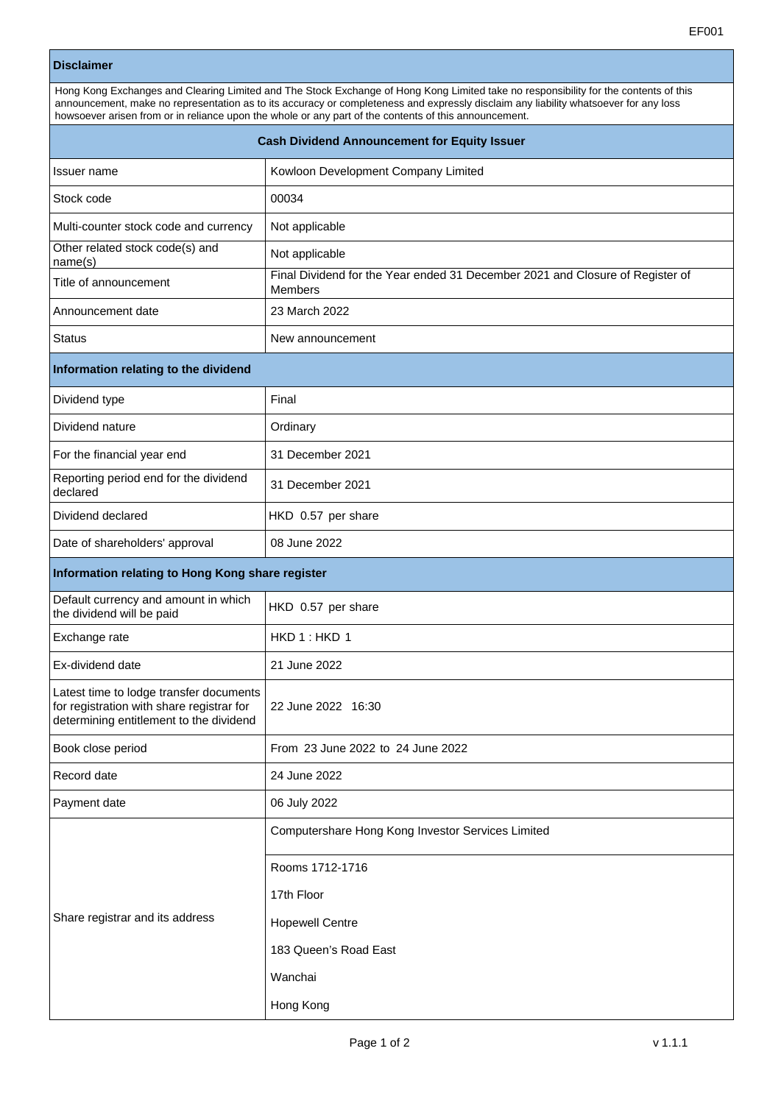| <b>Disclaimer</b>                                                                                                                                                                                                                                                                                                                                                                     |                                                                                                 |
|---------------------------------------------------------------------------------------------------------------------------------------------------------------------------------------------------------------------------------------------------------------------------------------------------------------------------------------------------------------------------------------|-------------------------------------------------------------------------------------------------|
| Hong Kong Exchanges and Clearing Limited and The Stock Exchange of Hong Kong Limited take no responsibility for the contents of this<br>announcement, make no representation as to its accuracy or completeness and expressly disclaim any liability whatsoever for any loss<br>howsoever arisen from or in reliance upon the whole or any part of the contents of this announcement. |                                                                                                 |
| <b>Cash Dividend Announcement for Equity Issuer</b>                                                                                                                                                                                                                                                                                                                                   |                                                                                                 |
| Issuer name                                                                                                                                                                                                                                                                                                                                                                           | Kowloon Development Company Limited                                                             |
| Stock code                                                                                                                                                                                                                                                                                                                                                                            | 00034                                                                                           |
| Multi-counter stock code and currency                                                                                                                                                                                                                                                                                                                                                 | Not applicable                                                                                  |
| Other related stock code(s) and<br>name(s)                                                                                                                                                                                                                                                                                                                                            | Not applicable                                                                                  |
| Title of announcement                                                                                                                                                                                                                                                                                                                                                                 | Final Dividend for the Year ended 31 December 2021 and Closure of Register of<br><b>Members</b> |
| Announcement date                                                                                                                                                                                                                                                                                                                                                                     | 23 March 2022                                                                                   |
| <b>Status</b>                                                                                                                                                                                                                                                                                                                                                                         | New announcement                                                                                |
| Information relating to the dividend                                                                                                                                                                                                                                                                                                                                                  |                                                                                                 |
| Dividend type                                                                                                                                                                                                                                                                                                                                                                         | Final                                                                                           |
| Dividend nature                                                                                                                                                                                                                                                                                                                                                                       | Ordinary                                                                                        |
| For the financial year end                                                                                                                                                                                                                                                                                                                                                            | 31 December 2021                                                                                |
| Reporting period end for the dividend<br>declared                                                                                                                                                                                                                                                                                                                                     | 31 December 2021                                                                                |
| Dividend declared                                                                                                                                                                                                                                                                                                                                                                     | HKD 0.57 per share                                                                              |
| Date of shareholders' approval                                                                                                                                                                                                                                                                                                                                                        | 08 June 2022                                                                                    |
| Information relating to Hong Kong share register                                                                                                                                                                                                                                                                                                                                      |                                                                                                 |
| Default currency and amount in which<br>the dividend will be paid                                                                                                                                                                                                                                                                                                                     | HKD 0.57 per share                                                                              |
| Exchange rate                                                                                                                                                                                                                                                                                                                                                                         | HKD 1: HKD 1                                                                                    |
| Ex-dividend date                                                                                                                                                                                                                                                                                                                                                                      | 21 June 2022                                                                                    |
| Latest time to lodge transfer documents<br>for registration with share registrar for<br>determining entitlement to the dividend                                                                                                                                                                                                                                                       | 22 June 2022 16:30                                                                              |
| Book close period                                                                                                                                                                                                                                                                                                                                                                     | From 23 June 2022 to 24 June 2022                                                               |
| Record date                                                                                                                                                                                                                                                                                                                                                                           | 24 June 2022                                                                                    |
| Payment date                                                                                                                                                                                                                                                                                                                                                                          | 06 July 2022                                                                                    |
|                                                                                                                                                                                                                                                                                                                                                                                       | Computershare Hong Kong Investor Services Limited                                               |
|                                                                                                                                                                                                                                                                                                                                                                                       | Rooms 1712-1716                                                                                 |
|                                                                                                                                                                                                                                                                                                                                                                                       | 17th Floor                                                                                      |
| Share registrar and its address                                                                                                                                                                                                                                                                                                                                                       | <b>Hopewell Centre</b>                                                                          |
|                                                                                                                                                                                                                                                                                                                                                                                       | 183 Queen's Road East                                                                           |

Wanchai

Hong Kong